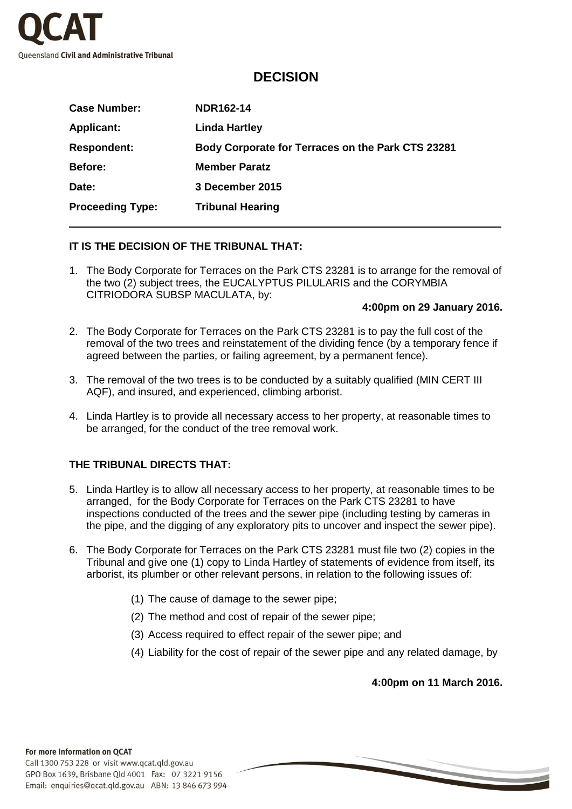

# **DECISION**

| <b>Case Number:</b>     | <b>NDR162-14</b>                                  |
|-------------------------|---------------------------------------------------|
| <b>Applicant:</b>       | <b>Linda Hartley</b>                              |
| <b>Respondent:</b>      | Body Corporate for Terraces on the Park CTS 23281 |
| <b>Before:</b>          | <b>Member Paratz</b>                              |
| Date:                   | 3 December 2015                                   |
| <b>Proceeding Type:</b> | <b>Tribunal Hearing</b>                           |

# **IT IS THE DECISION OF THE TRIBUNAL THAT:**

1. The Body Corporate for Terraces on the Park CTS 23281 is to arrange for the removal of the two (2) subject trees, the EUCALYPTUS PILULARIS and the CORYMBIA CITRIODORA SUBSP MACULATA, by:

#### **4:00pm on 29 January 2016.**

- 2. The Body Corporate for Terraces on the Park CTS 23281 is to pay the full cost of the removal of the two trees and reinstatement of the dividing fence (by a temporary fence if agreed between the parties, or failing agreement, by a permanent fence).
- 3. The removal of the two trees is to be conducted by a suitably qualified (MIN CERT III AQF), and insured, and experienced, climbing arborist.
- 4. Linda Hartley is to provide all necessary access to her property, at reasonable times to be arranged, for the conduct of the tree removal work.

# **THE TRIBUNAL DIRECTS THAT:**

- 5. Linda Hartley is to allow all necessary access to her property, at reasonable times to be arranged, for the Body Corporate for Terraces on the Park CTS 23281 to have inspections conducted of the trees and the sewer pipe (including testing by cameras in the pipe, and the digging of any exploratory pits to uncover and inspect the sewer pipe).
- 6. The Body Corporate for Terraces on the Park CTS 23281 must file two (2) copies in the Tribunal and give one (1) copy to Linda Hartley of statements of evidence from itself, its arborist, its plumber or other relevant persons, in relation to the following issues of:
	- (1) The cause of damage to the sewer pipe;
	- (2) The method and cost of repair of the sewer pipe;
	- (3) Access required to effect repair of the sewer pipe; and
	- (4) Liability for the cost of repair of the sewer pipe and any related damage, by

**4:00pm on 11 March 2016.**